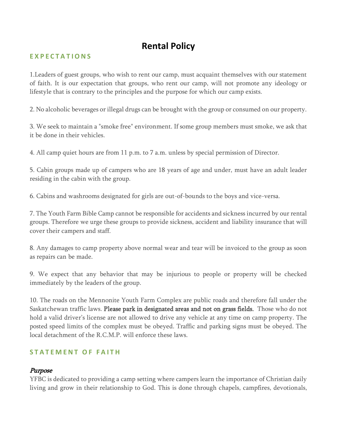# **Rental Policy**

## **E X P E C T A T I O N S**

1.Leaders of guest groups, who wish to rent our camp, must acquaint themselves with our statement of faith. It is our expectation that groups, who rent our camp, will not promote any ideology or lifestyle that is contrary to the principles and the purpose for which our camp exists.

2. No alcoholic beverages or illegal drugs can be brought with the group or consumed on our property.

3. We seek to maintain a "smoke free" environment. If some group members must smoke, we ask that it be done in their vehicles.

4. All camp quiet hours are from 11 p.m. to 7 a.m. unless by special permission of Director.

5. Cabin groups made up of campers who are 18 years of age and under, must have an adult leader residing in the cabin with the group.

6. Cabins and washrooms designated for girls are out-of-bounds to the boys and vice-versa.

7. The Youth Farm Bible Camp cannot be responsible for accidents and sickness incurred by our rental groups. Therefore we urge these groups to provide sickness, accident and liability insurance that will cover their campers and staff.

8. Any damages to camp property above normal wear and tear will be invoiced to the group as soon as repairs can be made.

9. We expect that any behavior that may be injurious to people or property will be checked immediately by the leaders of the group.

10. The roads on the Mennonite Youth Farm Complex are public roads and therefore fall under the Saskatchewan traffic laws. Please park in designated areas and not on grass fields. Those who do not hold a valid driver's license are not allowed to drive any vehicle at any time on camp property. The posted speed limits of the complex must be obeyed. Traffic and parking signs must be obeyed. The local detachment of the R.C.M.P. will enforce these laws.

#### **STATEMENT OF FAITH**

## Purpose

YFBC is dedicated to providing a camp setting where campers learn the importance of Christian daily living and grow in their relationship to God. This is done through chapels, campfires, devotionals,